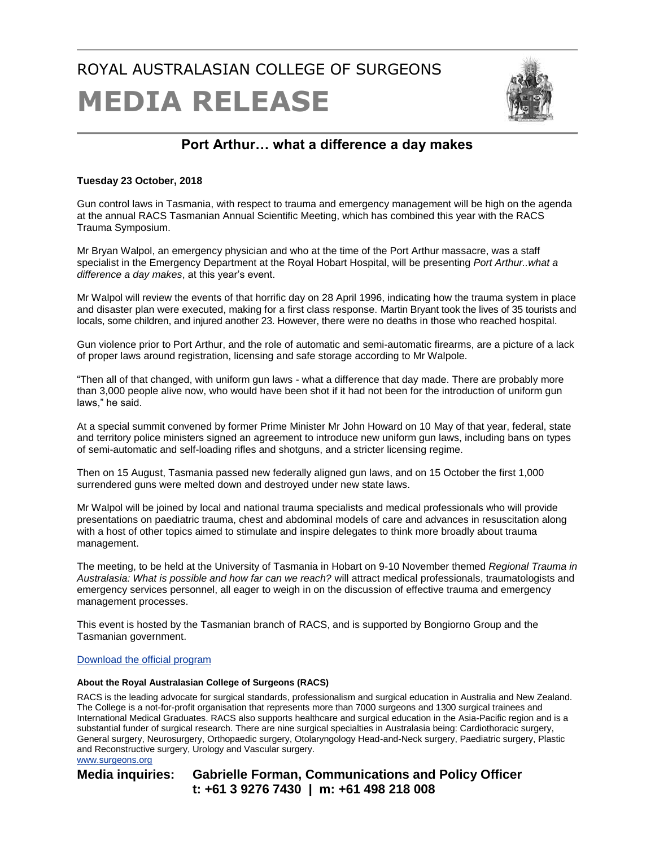## ROYAL AUSTRALASIAN COLLEGE OF SURGEONS **MEDIA RELEASE**



### **Port Arthur… what a difference a day makes**

#### **Tuesday 23 October, 2018**

Gun control laws in Tasmania, with respect to trauma and emergency management will be high on the agenda at the annual RACS Tasmanian Annual Scientific Meeting, which has combined this year with the RACS Trauma Symposium.

Mr Bryan Walpol, an emergency physician and who at the time of the Port Arthur massacre, was a staff specialist in the Emergency Department at the Royal Hobart Hospital, will be presenting *Port Arthur..what a difference a day makes*, at this year's event.

Mr Walpol will review the events of that horrific day on 28 April 1996, indicating how the trauma system in place and disaster plan were executed, making for a first class response. Martin Bryant took the lives of 35 tourists and locals, some children, and injured another 23. However, there were no deaths in those who reached hospital.

Gun violence prior to Port Arthur, and the role of automatic and semi-automatic firearms, are a picture of a lack of proper laws around registration, licensing and safe storage according to Mr Walpole.

"Then all of that changed, with uniform gun laws - what a difference that day made. There are probably more than 3,000 people alive now, who would have been shot if it had not been for the introduction of uniform gun laws," he said.

At a special summit convened by former Prime Minister Mr John Howard on 10 May of that year, federal, state and territory police ministers signed an agreement to introduce new uniform gun laws, including bans on types of semi-automatic and self-loading rifles and shotguns, and a stricter licensing regime.

Then on 15 August, Tasmania passed new federally aligned gun laws, and on 15 October the first 1,000 surrendered guns were melted down and destroyed under new state laws.

Mr Walpol will be joined by local and national trauma specialists and medical professionals who will provide presentations on paediatric trauma, chest and abdominal models of care and advances in resuscitation along with a host of other topics aimed to stimulate and inspire delegates to think more broadly about trauma management.

The meeting, to be held at the University of Tasmania in Hobart on 9-10 November themed *Regional Trauma in Australasia: What is possible and how far can we reach?* will attract medical professionals, traumatologists and emergency services personnel, all eager to weigh in on the discussion of effective trauma and emergency management processes.

This event is hosted by the Tasmanian branch of RACS, and is supported by Bongiorno Group and the Tasmanian government.

#### [Download the official program](https://www.surgeons.org/media/25729854/ART-2018-10-16-TAS-ASM-Final-Program.pdf)

#### **About the Royal Australasian College of Surgeons (RACS)**

RACS is the leading advocate for surgical standards, professionalism and surgical education in Australia and New Zealand. The College is a not-for-profit organisation that represents more than 7000 surgeons and 1300 surgical trainees and International Medical Graduates. RACS also supports healthcare and surgical education in the Asia-Pacific region and is a substantial funder of surgical research. There are nine surgical specialties in Australasia being: Cardiothoracic surgery, General surgery, Neurosurgery, Orthopaedic surgery, Otolaryngology Head-and-Neck surgery, Paediatric surgery, Plastic and Reconstructive surgery, Urology and Vascular surgery. [www.surgeons.org](http://www.surgeons.org/)

**Media inquiries: Gabrielle Forman, Communications and Policy Officer t: +61 3 9276 7430 | m: +61 498 218 008**